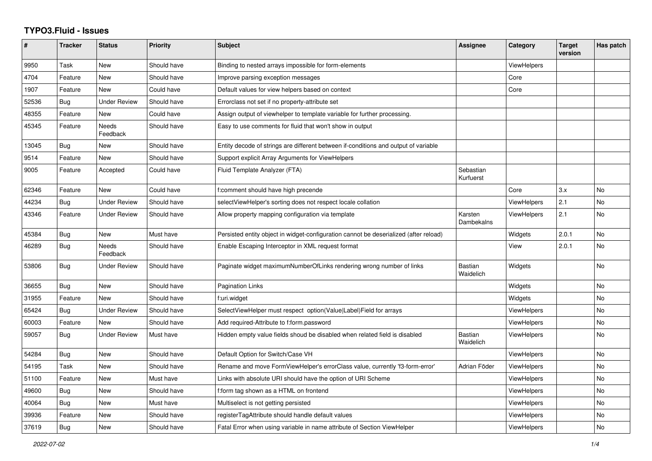## **TYPO3.Fluid - Issues**

| $\sharp$ | <b>Tracker</b> | <b>Status</b>            | <b>Priority</b> | Subject                                                                               | <b>Assignee</b>             | Category           | <b>Target</b><br>version | Has patch      |
|----------|----------------|--------------------------|-----------------|---------------------------------------------------------------------------------------|-----------------------------|--------------------|--------------------------|----------------|
| 9950     | Task           | New                      | Should have     | Binding to nested arrays impossible for form-elements                                 |                             | ViewHelpers        |                          |                |
| 4704     | Feature        | New                      | Should have     | Improve parsing exception messages                                                    |                             | Core               |                          |                |
| 1907     | Feature        | New                      | Could have      | Default values for view helpers based on context                                      |                             | Core               |                          |                |
| 52536    | <b>Bug</b>     | <b>Under Review</b>      | Should have     | Errorclass not set if no property-attribute set                                       |                             |                    |                          |                |
| 48355    | Feature        | New                      | Could have      | Assign output of viewhelper to template variable for further processing.              |                             |                    |                          |                |
| 45345    | Feature        | <b>Needs</b><br>Feedback | Should have     | Easy to use comments for fluid that won't show in output                              |                             |                    |                          |                |
| 13045    | <b>Bug</b>     | New                      | Should have     | Entity decode of strings are different between if-conditions and output of variable   |                             |                    |                          |                |
| 9514     | Feature        | New                      | Should have     | Support explicit Array Arguments for ViewHelpers                                      |                             |                    |                          |                |
| 9005     | Feature        | Accepted                 | Could have      | Fluid Template Analyzer (FTA)                                                         | Sebastian<br>Kurfuerst      |                    |                          |                |
| 62346    | Feature        | <b>New</b>               | Could have      | f:comment should have high precende                                                   |                             | Core               | 3.x                      | <b>No</b>      |
| 44234    | Bug            | <b>Under Review</b>      | Should have     | selectViewHelper's sorting does not respect locale collation                          |                             | <b>ViewHelpers</b> | 2.1                      | No             |
| 43346    | Feature        | Under Review             | Should have     | Allow property mapping configuration via template                                     | Karsten<br>Dambekalns       | ViewHelpers        | 2.1                      | <b>No</b>      |
| 45384    | <b>Bug</b>     | New                      | Must have       | Persisted entity object in widget-configuration cannot be deserialized (after reload) |                             | Widgets            | 2.0.1                    | N <sub>o</sub> |
| 46289    | Bug            | Needs<br>Feedback        | Should have     | Enable Escaping Interceptor in XML request format                                     |                             | View               | 2.0.1                    | No             |
| 53806    | Bug            | <b>Under Review</b>      | Should have     | Paginate widget maximumNumberOfLinks rendering wrong number of links                  | Bastian<br>Waidelich        | Widgets            |                          | <b>No</b>      |
| 36655    | Bug            | <b>New</b>               | Should have     | <b>Pagination Links</b>                                                               |                             | Widgets            |                          | <b>No</b>      |
| 31955    | Feature        | New                      | Should have     | f:uri.widget                                                                          |                             | Widgets            |                          | No             |
| 65424    | Bug            | <b>Under Review</b>      | Should have     | SelectViewHelper must respect option(Value Label)Field for arrays                     |                             | ViewHelpers        |                          | <b>No</b>      |
| 60003    | Feature        | <b>New</b>               | Should have     | Add required-Attribute to f:form.password                                             |                             | <b>ViewHelpers</b> |                          | No             |
| 59057    | Bug            | Under Review             | Must have       | Hidden empty value fields shoud be disabled when related field is disabled            | <b>Bastian</b><br>Waidelich | <b>ViewHelpers</b> |                          | No             |
| 54284    | Bug            | New                      | Should have     | Default Option for Switch/Case VH                                                     |                             | <b>ViewHelpers</b> |                          | <b>No</b>      |
| 54195    | Task           | <b>New</b>               | Should have     | Rename and move FormViewHelper's errorClass value, currently 'f3-form-error'          | Adrian Föder                | <b>ViewHelpers</b> |                          | No             |
| 51100    | Feature        | New                      | Must have       | Links with absolute URI should have the option of URI Scheme                          |                             | <b>ViewHelpers</b> |                          | No             |
| 49600    | Bug            | New                      | Should have     | f:form tag shown as a HTML on frontend                                                |                             | <b>ViewHelpers</b> |                          | No             |
| 40064    | Bug            | New                      | Must have       | Multiselect is not getting persisted                                                  |                             | <b>ViewHelpers</b> |                          | No             |
| 39936    | Feature        | New                      | Should have     | registerTagAttribute should handle default values                                     |                             | <b>ViewHelpers</b> |                          | No             |
| 37619    | Bug            | New                      | Should have     | Fatal Error when using variable in name attribute of Section ViewHelper               |                             | <b>ViewHelpers</b> |                          | No             |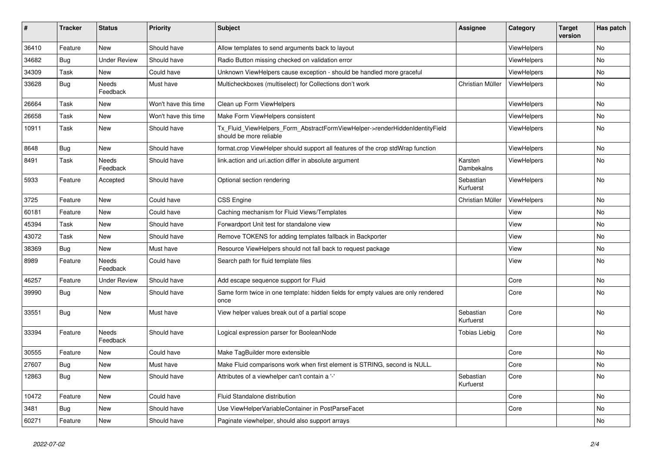| $\vert$ # | <b>Tracker</b> | <b>Status</b>            | <b>Priority</b>      | <b>Subject</b>                                                                                         | <b>Assignee</b>        | Category           | <b>Target</b><br>version | Has patch |
|-----------|----------------|--------------------------|----------------------|--------------------------------------------------------------------------------------------------------|------------------------|--------------------|--------------------------|-----------|
| 36410     | Feature        | <b>New</b>               | Should have          | Allow templates to send arguments back to layout                                                       |                        | <b>ViewHelpers</b> |                          | <b>No</b> |
| 34682     | Bug            | <b>Under Review</b>      | Should have          | Radio Button missing checked on validation error                                                       |                        | ViewHelpers        |                          | <b>No</b> |
| 34309     | Task           | <b>New</b>               | Could have           | Unknown ViewHelpers cause exception - should be handled more graceful                                  |                        | ViewHelpers        |                          | <b>No</b> |
| 33628     | Bug            | <b>Needs</b><br>Feedback | Must have            | Multicheckboxes (multiselect) for Collections don't work                                               | Christian Müller       | ViewHelpers        |                          | <b>No</b> |
| 26664     | Task           | New                      | Won't have this time | Clean up Form ViewHelpers                                                                              |                        | <b>ViewHelpers</b> |                          | No        |
| 26658     | Task           | New                      | Won't have this time | Make Form ViewHelpers consistent                                                                       |                        | <b>ViewHelpers</b> |                          | No        |
| 10911     | Task           | New                      | Should have          | Tx Fluid ViewHelpers Form AbstractFormViewHelper->renderHiddenIdentityField<br>should be more reliable |                        | <b>ViewHelpers</b> |                          | No        |
| 8648      | <b>Bug</b>     | New                      | Should have          | format.crop ViewHelper should support all features of the crop stdWrap function                        |                        | <b>ViewHelpers</b> |                          | <b>No</b> |
| 8491      | Task           | Needs<br>Feedback        | Should have          | link.action and uri.action differ in absolute argument                                                 | Karsten<br>Dambekalns  | <b>ViewHelpers</b> |                          | <b>No</b> |
| 5933      | Feature        | Accepted                 | Should have          | Optional section rendering                                                                             | Sebastian<br>Kurfuerst | <b>ViewHelpers</b> |                          | No        |
| 3725      | Feature        | New                      | Could have           | <b>CSS Engine</b>                                                                                      | Christian Müller       | ViewHelpers        |                          | No        |
| 60181     | Feature        | New                      | Could have           | Caching mechanism for Fluid Views/Templates                                                            |                        | View               |                          | No        |
| 45394     | Task           | New                      | Should have          | Forwardport Unit test for standalone view                                                              |                        | View               |                          | No        |
| 43072     | Task           | New                      | Should have          | Remove TOKENS for adding templates fallback in Backporter                                              |                        | View               |                          | No        |
| 38369     | Bug            | New                      | Must have            | Resource ViewHelpers should not fall back to request package                                           |                        | View               |                          | <b>No</b> |
| 8989      | Feature        | Needs<br>Feedback        | Could have           | Search path for fluid template files                                                                   |                        | View               |                          | No        |
| 46257     | Feature        | <b>Under Review</b>      | Should have          | Add escape sequence support for Fluid                                                                  |                        | Core               |                          | <b>No</b> |
| 39990     | Bug            | New                      | Should have          | Same form twice in one template: hidden fields for empty values are only rendered<br>once              |                        | Core               |                          | No        |
| 33551     | Bug            | <b>New</b>               | Must have            | View helper values break out of a partial scope                                                        | Sebastian<br>Kurfuerst | Core               |                          | No        |
| 33394     | Feature        | Needs<br>Feedback        | Should have          | Logical expression parser for BooleanNode                                                              | Tobias Liebig          | Core               |                          | No        |
| 30555     | Feature        | New                      | Could have           | Make TagBuilder more extensible                                                                        |                        | Core               |                          | <b>No</b> |
| 27607     | Bug            | New                      | Must have            | Make Fluid comparisons work when first element is STRING, second is NULL.                              |                        | Core               |                          | No        |
| 12863     | Bug            | New                      | Should have          | Attributes of a viewhelper can't contain a '-'                                                         | Sebastian<br>Kurfuerst | Core               |                          | <b>No</b> |
| 10472     | Feature        | New                      | Could have           | <b>Fluid Standalone distribution</b>                                                                   |                        | Core               |                          | No        |
| 3481      | Bug            | New                      | Should have          | Use ViewHelperVariableContainer in PostParseFacet                                                      |                        | Core               |                          | No        |
| 60271     | Feature        | <b>New</b>               | Should have          | Paginate viewhelper, should also support arrays                                                        |                        |                    |                          | No        |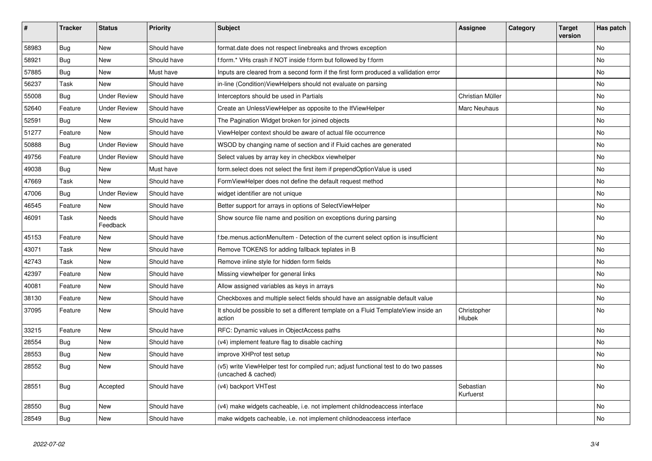| $\vert$ # | <b>Tracker</b> | <b>Status</b>       | <b>Priority</b> | <b>Subject</b>                                                                                              | Assignee               | Category | <b>Target</b><br>version | Has patch |
|-----------|----------------|---------------------|-----------------|-------------------------------------------------------------------------------------------------------------|------------------------|----------|--------------------------|-----------|
| 58983     | Bug            | <b>New</b>          | Should have     | format.date does not respect linebreaks and throws exception                                                |                        |          |                          | <b>No</b> |
| 58921     | <b>Bug</b>     | New                 | Should have     | f:form.* VHs crash if NOT inside f:form but followed by f:form                                              |                        |          |                          | <b>No</b> |
| 57885     | <b>Bug</b>     | New                 | Must have       | Inputs are cleared from a second form if the first form produced a vallidation error                        |                        |          |                          | No        |
| 56237     | Task           | New                 | Should have     | in-line (Condition) ViewHelpers should not evaluate on parsing                                              |                        |          |                          | No        |
| 55008     | Bug            | <b>Under Review</b> | Should have     | Interceptors should be used in Partials                                                                     | Christian Müller       |          |                          | <b>No</b> |
| 52640     | Feature        | Under Review        | Should have     | Create an UnlessViewHelper as opposite to the IfViewHelper                                                  | Marc Neuhaus           |          |                          | <b>No</b> |
| 52591     | <b>Bug</b>     | New                 | Should have     | The Pagination Widget broken for joined objects                                                             |                        |          |                          | No        |
| 51277     | Feature        | <b>New</b>          | Should have     | ViewHelper context should be aware of actual file occurrence                                                |                        |          |                          | <b>No</b> |
| 50888     | Bug            | <b>Under Review</b> | Should have     | WSOD by changing name of section and if Fluid caches are generated                                          |                        |          |                          | No        |
| 49756     | Feature        | <b>Under Review</b> | Should have     | Select values by array key in checkbox viewhelper                                                           |                        |          |                          | No        |
| 49038     | Bug            | <b>New</b>          | Must have       | form select does not select the first item if prependOptionValue is used                                    |                        |          |                          | No        |
| 47669     | Task           | <b>New</b>          | Should have     | FormViewHelper does not define the default request method                                                   |                        |          |                          | <b>No</b> |
| 47006     | Bug            | Under Review        | Should have     | widget identifier are not unique                                                                            |                        |          |                          | No        |
| 46545     | Feature        | New                 | Should have     | Better support for arrays in options of SelectViewHelper                                                    |                        |          |                          | No        |
| 46091     | Task           | Needs<br>Feedback   | Should have     | Show source file name and position on exceptions during parsing                                             |                        |          |                          | No        |
| 45153     | Feature        | New                 | Should have     | be menus actionMenuItem - Detection of the current select option is insufficient                            |                        |          |                          | <b>No</b> |
| 43071     | Task           | <b>New</b>          | Should have     | Remove TOKENS for adding fallback teplates in B                                                             |                        |          |                          | <b>No</b> |
| 42743     | Task           | New                 | Should have     | Remove inline style for hidden form fields                                                                  |                        |          |                          | <b>No</b> |
| 42397     | Feature        | New                 | Should have     | Missing viewhelper for general links                                                                        |                        |          |                          | No        |
| 40081     | Feature        | New                 | Should have     | Allow assigned variables as keys in arrays                                                                  |                        |          |                          | No        |
| 38130     | Feature        | New                 | Should have     | Checkboxes and multiple select fields should have an assignable default value                               |                        |          |                          | <b>No</b> |
| 37095     | Feature        | New                 | Should have     | It should be possible to set a different template on a Fluid TemplateView inside an<br>action               | Christopher<br>Hlubek  |          |                          | No        |
| 33215     | Feature        | <b>New</b>          | Should have     | RFC: Dynamic values in ObjectAccess paths                                                                   |                        |          |                          | <b>No</b> |
| 28554     | Bug            | New                 | Should have     | (v4) implement feature flag to disable caching                                                              |                        |          |                          | <b>No</b> |
| 28553     | <b>Bug</b>     | New                 | Should have     | improve XHProf test setup                                                                                   |                        |          |                          | <b>No</b> |
| 28552     | Bug            | New                 | Should have     | (v5) write ViewHelper test for compiled run; adjust functional test to do two passes<br>(uncached & cached) |                        |          |                          | No        |
| 28551     | Bug            | Accepted            | Should have     | (v4) backport VHTest                                                                                        | Sebastian<br>Kurfuerst |          |                          | <b>No</b> |
| 28550     | <b>Bug</b>     | <b>New</b>          | Should have     | (v4) make widgets cacheable, i.e. not implement childnodeaccess interface                                   |                        |          |                          | <b>No</b> |
| 28549     | Bug            | <b>New</b>          | Should have     | make widgets cacheable, i.e. not implement childnodeaccess interface                                        |                        |          |                          | <b>No</b> |